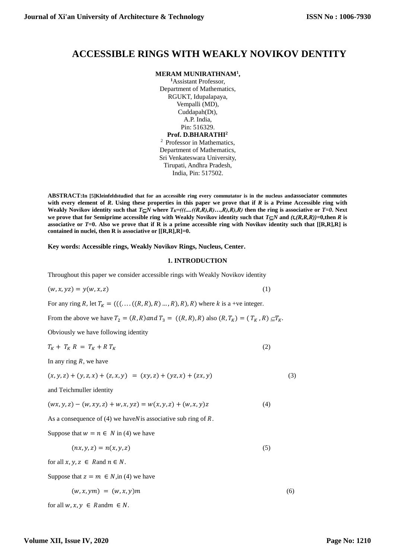## **ACCESSIBLE RINGS WITH WEAKLY NOVIKOV DENTITY**

**MERAM MUNIRATHNAM<sup>1</sup> ,**

**<sup>1</sup>**Assistant Professor, Department of Mathematics, RGUKT, Idupalapaya, Vempalli (MD), Cuddapah(Dt), A.P. India, Pin: 516329. **Prof. D.BHARATHI<sup>2</sup>**

<sup>2</sup> Professor in Mathematics, Department of Mathematics, Sri Venkateswara University, Tirupati, Andhra Pradesh, India, Pin: 517502.

**ABSTRACT:In [5]Kleinfeldstudied that for an accessible ring every commutator is in the nucleus andassociator commutes with every element of** *R***. Using these properties in this paper we prove that if** *R* **is a Prime Accessible ring with Weakly Novikov identity such that**  $T \subseteq N$  **where**  $T \in \{((\dots((R,R),R),\dots,R),R),R)\}$  **then the ring is associative or**  $T=0$ **<b>.** Next we prove that for Semiprime accessible ring with Weakly Novikov identity such that  $T \subseteq N$  and  $(t, (R, R, R)) = 0$ , then *R* is **associative or**  $T=0$ **. Also we prove that if R is a prime accessible ring with Novikov identity such that**  $[[R,R],R]$  **is contained in nuclei, then R is associative or [[R,R],R]=0.**

**Key words: Accessible rings, Weakly Novikov Rings, Nucleus, Center.**

## **1. INTRODUCTION**

Throughout this paper we consider accessible rings with Weakly Novikov identity

$$
(w, x, yz) = y(w, x, z) \tag{1}
$$

For any ring R, let  $T_K = (((\dots ((R, R), R) \dots, R), R), R)$  where k is a +ve integer.

From the above we have  $T_2 = (R, R)$  and  $T_3 = ((R, R), R)$  also  $(R, T_K) = (T_K, R) \subseteq T_K$ .

Obviously we have following identity

$$
T_K + T_K R = T_K + R T_K \tag{2}
$$

In any ring *, we have* 

$$
(x, y, z) + (y, z, x) + (z, x, y) = (xy, z) + (yz, x) + (zx, y)
$$
\n(3)

and Teichmuller identity

$$
(wx, y, z) - (w, xy, z) + w, x, yz) = w(x, y, z) + (w, x, y)z
$$
\n(4)

As a consequence of  $(4)$  we have N is associative sub ring of R.

Suppose that  $w = n \in N$  in (4) we have

$$
(nx, y, z) = n(x, y, z) \tag{5}
$$

for all  $x, y, z \in R$  and  $n \in N$ .

Suppose that  $z = m \in N$ , in (4) we have

$$
(w, x, ym) = (w, x, y)m \tag{6}
$$

for all  $w, x, y \in R$  and  $m \in N$ .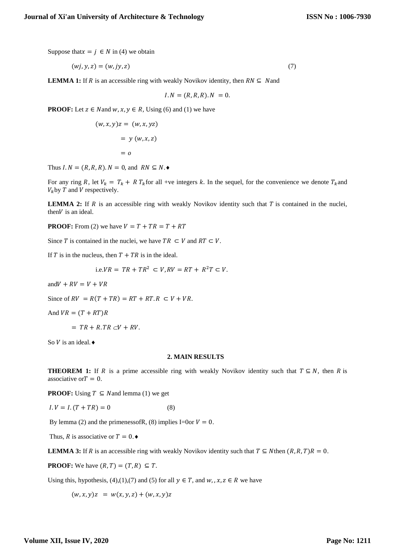Suppose that  $x = j \in N$  in (4) we obtain

$$
(wj, y, z) = (w, jy, z) \tag{7}
$$

**LEMMA 1:** If R is an accessible ring with weakly Novikov identity, then  $RN \subseteq N$  and

$$
I.N = (R, R, R).N = 0.
$$

**PROOF:** Let  $z \in N$  and  $w, x, y \in R$ , Using (6) and (1) we have

$$
(w, x, y)z = (w, x, yz)
$$

$$
= y (w, x, z)
$$

$$
= o
$$

Thus  $I.N = (R, R, R). N = 0$ , and  $RN \subseteq N$ .

For any ring R, let  $V_k = T_k + R T_k$  for all +ve integers k. In the sequel, for the convenience we denote  $T_k$  and  $V_k$  by T and V respectively.

**LEMMA 2:** If  $R$  is an accessible ring with weakly Novikov identity such that  $T$  is contained in the nuclei, then  $V$  is an ideal.

**PROOF:** From (2) we have  $V = T + TR = T + RT$ 

Since T is contained in the nuclei, we have  $TR \subset V$  and  $RT \subset V$ .

If  $T$  is in the nucleus, then  $T + TR$  is in the ideal.

i.e.
$$
VR = TR + TR^2 \subset V, RV = RT + R^2T \subset V
$$
.

and  $V + RV = V + VR$ 

Since of  $RV = R(T + TR) = RT + RT \cdot R \subset V + VR$ .

And  $VR = (T + RT)R$ 

 $= TR + R.TR \subset V + RV.$ 

So  $V$  is an ideal.  $\bullet$ 

## **2. MAIN RESULTS**

**THEOREM 1:** If R is a prime accessible ring with weakly Novikov identity such that  $T \subseteq N$ , then R is associative or  $T = 0$ .

**PROOF:** Using  $T \subseteq N$  and lemma (1) we get

 $I.V = I.(T + TR) = 0$  (8)

By lemma (2) and the primenessofR, (8) implies I=0or  $V = 0$ .

Thus, R is associative or  $T = 0$ .

**LEMMA 3:** If R is an accessible ring with weakly Novikov identity such that  $T \subseteq N$  then  $(R, R, T)R = 0$ .

**PROOF:** We have  $(R, T) = (T, R) \subseteq T$ .

Using this, hypothesis, (4),(1),(7) and (5) for all  $y \in T$ , and  $w_i, x, z \in R$  we have

 $(w, x, y)z = w(x, y, z) + (w, x, y)z$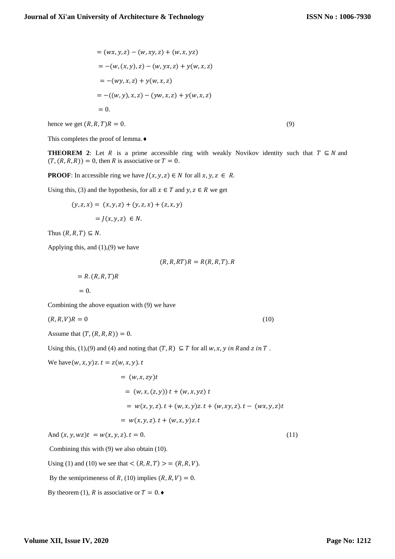$$
= (wx, y, z) - (w, xy, z) + (w, x, yz)
$$
  
= - $(w, (x, y), z) - (w, yx, z) + y(w, x, z)$   
= - $(wy, x, z) + y(w, x, z)$   
= - $((w, y), x, z) - (yw, x, z) + y(w, x, z)$   
= 0.

hence we get  $(R, R, T)R = 0.$  (9)

This completes the proof of lemma.

**THEOREM 2**: Let R is a prime accessible ring with weakly Novikov identity such that  $T \subseteq N$  and  $(T, (R, R, R)) = 0$ , then R is associative or  $T = 0$ .

**PROOF**: In accessible ring we have  $J(x, y, z) \in N$  for all  $x, y, z \in R$ .

Using this, (3) and the hypothesis, for all  $x \in T$  and  $y, z \in R$  we get

$$
(y, z, x) = (x, y, z) + (y, z, x) + (z, x, y)
$$

$$
= J(x, y, z) \in N.
$$

Thus  $(R, R, T) \subseteq N$ .

Applying this, and  $(1),(9)$  we have

 $(R, R, RT)R = R(R, R, T).R$ 

 $= R. (R, R, T)R$  $= 0.$ 

Combining the above equation with (9) we have

$$
(R, R, V)R = 0 \tag{10}
$$

Assume that  $(T, (R, R, R)) = 0$ .

Using this, (1), (9) and (4) and noting that  $(T, R) \subseteq T$  for all w, x, y in Rand z in T.

We have 
$$
(w, x, y)z
$$
.  $t = z(w, x, y)$ .  $t$ 

= 
$$
(w, x, zy)t
$$
  
\n=  $(w, x, (z, y)) t + (w, x, yz) t$   
\n=  $w(x, y, z).t + (w, x, y)z. t + (w, xy, z).t - (wx, y, z)t$   
\n=  $w(x, y, z).t + (w, x, y)z. t$ 

And  $(x, y, wz)t = w(x, y, z)$ .  $t = 0$ . (11)

Combining this with (9) we also obtain (10).

Using (1) and (10) we see that  $\langle (R, R, T) \rangle = (R, R, V)$ .

By the semiprimeness of R, (10) implies  $(R, R, V) = 0$ .

By theorem (1), R is associative or  $T = 0$ .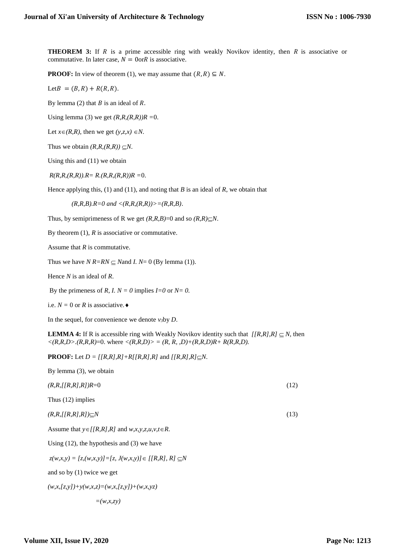**THEOREM 3:** If  $R$  is a prime accessible ring with weakly Novikov identity, then  $R$  is associative or commutative. In later case,  $N = 0$ or $R$  is associative.

**PROOF:** In view of theorem (1), we may assume that  $(R, R) \subseteq N$ .

Let  $B = (B, R) + R(R, R)$ .

By lemma (2) that  $B$  is an ideal of  $R$ .

Using lemma (3) we get  $(R, R, (R, R))R = 0$ .

Let  $x \in (R, R)$ , then we get  $(y, z, x) \in N$ .

Thus we obtain  $(R, R, (R, R)) \subseteq N$ .

Using this and (11) we obtain

*R(R,R,(R,R)).R= R.(R,R,(R,R))R =*0.

Hence applying this, (1) and (11), and noting that *B* is an ideal of *R*, we obtain that

 $(R, R, B)$ *, R=0 and <(R,R,(R,R))>=(R,R,B)*.

Thus, by semiprimeness of R we get  $(R, R, B) = 0$  and so  $(R, R) \subseteq N$ .

By theorem (1), *R* is associative or commutative.

Assume that *R* is commutative.

Thus we have  $N R=R N \subseteq N$  and *I.*  $N=0$  (By lemma (1)).

Hence *N* is an ideal of *R*.

By the primeness of *R*, *I.*  $N = 0$  implies  $I=0$  or  $N=0$ .

i.e.  $N = 0$  or *R* is associative.  $\triangleleft$ 

In the sequel, for convenience we denote  $v_3$ by *D*.

**LEMMA 4:** If R is accessible ring with Weakly Novikov identity such that  $/[R, R, R] \subseteq N$ , then  $\langle (R,R,D) \rangle (R,R,R) = 0$ . where  $\langle (R,R,D) \rangle = (R, R, D) + (R, R, D)R + R(R, R, D)$ .

**PROOF:** Let  $D = [R, R], R] + R[R, R], R]$  and  $[R, R], R] \subseteq N$ .

| By lemma $(3)$ , we obtain                                          |      |
|---------------------------------------------------------------------|------|
| $(R, R, \frac{I}{R}, R, R, R)$ $R=0$                                | (12) |
| Thus $(12)$ implies                                                 |      |
| $(R,R,\lceil [R,R],R\rceil)\subseteq N$                             | (13) |
| Assume that $y \in [R, R], R]$ and $w, x, y, z, u, v, t \in R$ .    |      |
| Using $(12)$ , the hypothesis and $(3)$ we have                     |      |
| $z(w,x,y) = [z,(w,x,y)] = [z, J(w,x,y)] \in [[R,R], R] \subseteq N$ |      |
| and so by $(1)$ twice we get                                        |      |
| $(w, x, [z, y]) + y(w, x, z) = (w, x, [z, y]) + (w, x, yz)$         |      |
| $-$ (10 $\pi$ $\pi$ )                                               |      |

$$
-(W,\lambda,\lambda,y)
$$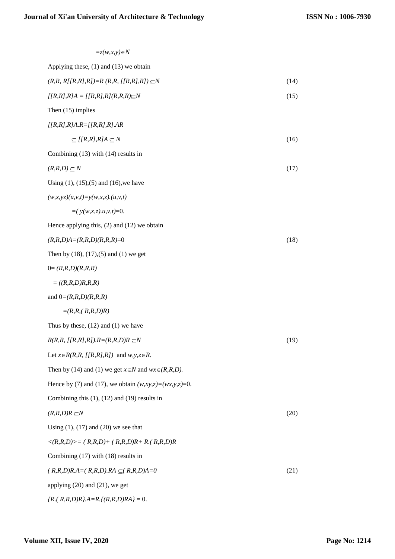| $=z(w,x,y) \in N$                                                |      |
|------------------------------------------------------------------|------|
| Applying these, $(1)$ and $(13)$ we obtain                       |      |
| $(R, R, R/[R, R], R]) = R (R, R, [R, R], R]) \subseteq N$        | (14) |
| $[ [R,R],R]A = [ [R,R],R] (R,R,R) \subseteq N$                   | (15) |
| Then $(15)$ implies                                              |      |
| $[ [R,R], R]A.R=[ [R,R], R].AR$                                  |      |
| $\subset$ [[R,R],R]A $\subset$ N                                 | (16) |
| Combining $(13)$ with $(14)$ results in                          |      |
| $(R,R,D) \subseteq N$                                            | (17) |
| Using $(1)$ , $(15)$ , $(5)$ and $(16)$ , we have                |      |
| $(w, x, yz)(u, v, t) = y(w, x, z) \cdot (u, v, t)$               |      |
| $=$ ( $y(w,x,z)$ , $u, v, t$ )=0.                                |      |
| Hence applying this, $(2)$ and $(12)$ we obtain                  |      |
| $(R, R, D)A = (R, R, D)(R, R, R) = 0$                            | (18) |
| Then by $(18)$ , $(17)$ , $(5)$ and $(1)$ we get                 |      |
| $0 = (R, R, D) (R, R, R)$                                        |      |
| $= ((R,R,D)R,R,R)$                                               |      |
| and $0=(R,R,D)(R,R,R)$                                           |      |
| $= (R, R, (R, R, D)R)$                                           |      |
| Thus by these, $(12)$ and $(1)$ we have                          |      |
| $R(R,R, [ [R,R],R]).R=(R,R,D)R \subseteq N$                      | (19) |
| Let $x \in R(R, R, [R, R], R]$ and $w, y, z \in R$ .             |      |
| Then by (14) and (1) we get $x \in N$ and $wx \in (R, R, D)$ .   |      |
| Hence by (7) and (17), we obtain $(w, xy, z) = (wx, y, z) = 0$ . |      |
| Combining this $(1)$ , $(12)$ and $(19)$ results in              |      |
| $(R, R, D)R \subseteq N$                                         | (20) |
| Using $(1)$ , $(17)$ and $(20)$ we see that                      |      |
| $\langle (R,R,D) \rangle = (R,R,D) + (R,R,D)R + R(A,R,D)R$       |      |
| Combining $(17)$ with $(18)$ results in                          |      |
| $(R, R, D)R.A = (R, R, D).RA \subseteq (R, R, D)A = 0$           | (21) |
| applying $(20)$ and $(21)$ , we get                              |      |
| ${R.(R,R,D)R}.A=R. {(R,R,D)RA} = 0.$                             |      |